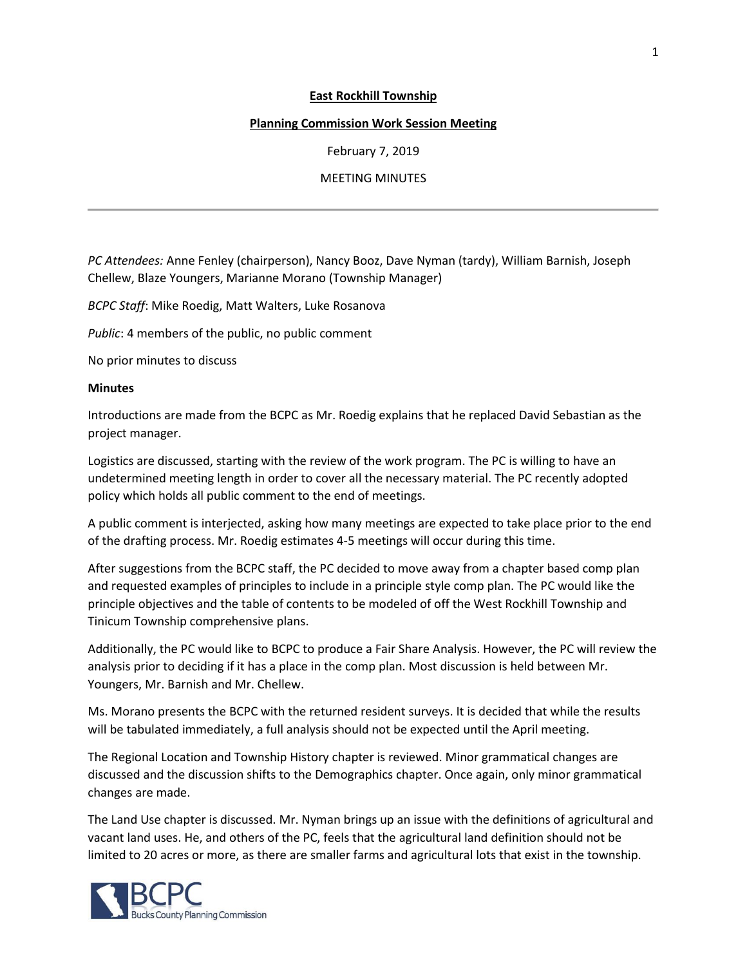## **East Rockhill Township**

## **Planning Commission Work Session Meeting**

February 7, 2019

## MEETING MINUTES

*PC Attendees:* Anne Fenley (chairperson), Nancy Booz, Dave Nyman (tardy), William Barnish, Joseph Chellew, Blaze Youngers, Marianne Morano (Township Manager)

*BCPC Staff*: Mike Roedig, Matt Walters, Luke Rosanova

*Public*: 4 members of the public, no public comment

No prior minutes to discuss

## **Minutes**

Introductions are made from the BCPC as Mr. Roedig explains that he replaced David Sebastian as the project manager.

Logistics are discussed, starting with the review of the work program. The PC is willing to have an undetermined meeting length in order to cover all the necessary material. The PC recently adopted policy which holds all public comment to the end of meetings.

A public comment is interjected, asking how many meetings are expected to take place prior to the end of the drafting process. Mr. Roedig estimates 4-5 meetings will occur during this time.

After suggestions from the BCPC staff, the PC decided to move away from a chapter based comp plan and requested examples of principles to include in a principle style comp plan. The PC would like the principle objectives and the table of contents to be modeled of off the West Rockhill Township and Tinicum Township comprehensive plans.

Additionally, the PC would like to BCPC to produce a Fair Share Analysis. However, the PC will review the analysis prior to deciding if it has a place in the comp plan. Most discussion is held between Mr. Youngers, Mr. Barnish and Mr. Chellew.

Ms. Morano presents the BCPC with the returned resident surveys. It is decided that while the results will be tabulated immediately, a full analysis should not be expected until the April meeting.

The Regional Location and Township History chapter is reviewed. Minor grammatical changes are discussed and the discussion shifts to the Demographics chapter. Once again, only minor grammatical changes are made.

The Land Use chapter is discussed. Mr. Nyman brings up an issue with the definitions of agricultural and vacant land uses. He, and others of the PC, feels that the agricultural land definition should not be limited to 20 acres or more, as there are smaller farms and agricultural lots that exist in the township.